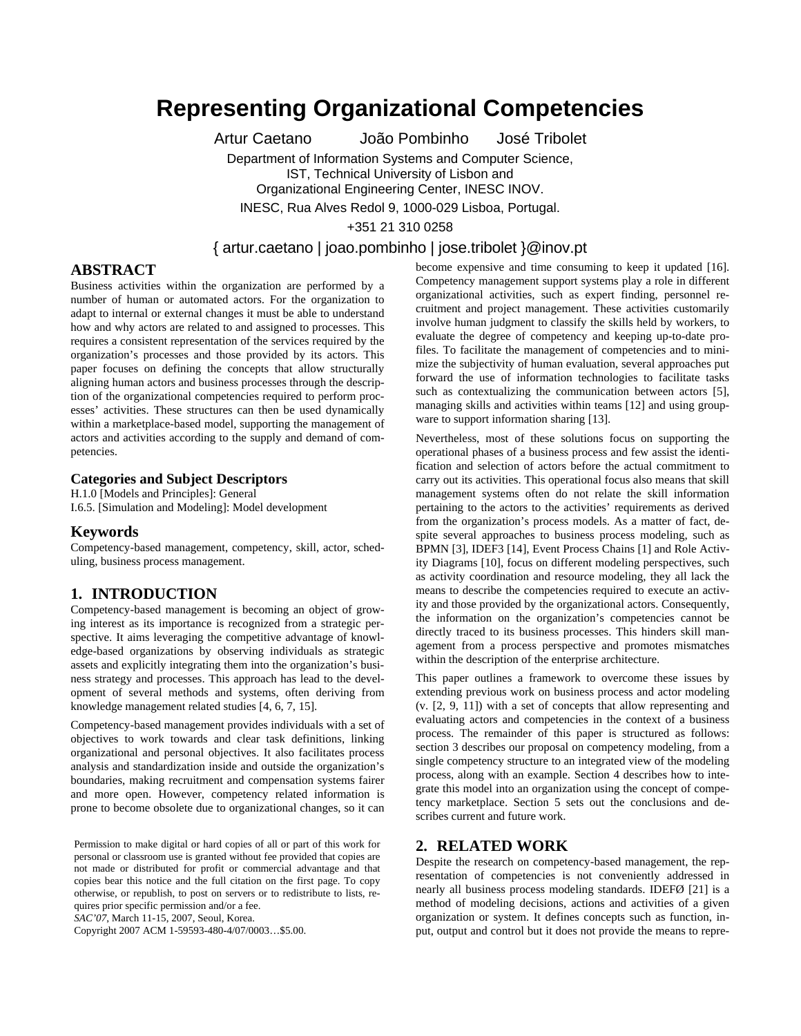# **Representing Organizational Competencies**

Artur Caetano João Pombinho José Tribolet

Department of Information Systems and Computer Science, IST, Technical University of Lisbon and Organizational Engineering Center, INESC INOV.

INESC, Rua Alves Redol 9, 1000-029 Lisboa, Portugal.

+351 21 310 0258

{ artur.caetano | joao.pombinho | jose.tribolet }@inov.pt

## **ABSTRACT**

Business activities within the organization are performed by a number of human or automated actors. For the organization to adapt to internal or external changes it must be able to understand how and why actors are related to and assigned to processes. This requires a consistent representation of the services required by the organization's processes and those provided by its actors. This paper focuses on defining the concepts that allow structurally aligning human actors and business processes through the description of the organizational competencies required to perform processes' activities. These structures can then be used dynamically within a marketplace-based model, supporting the management of actors and activities according to the supply and demand of competencies.

#### **Categories and Subject Descriptors**

H.1.0 [Models and Principles]: General I.6.5. [Simulation and Modeling]: Model development

## **Keywords**

Competency-based management, competency, skill, actor, scheduling, business process management.

#### **1. INTRODUCTION**

Competency-based management is becoming an object of growing interest as its importance is recognized from a strategic perspective. It aims leveraging the competitive advantage of knowledge-based organizations by observing individuals as strategic assets and explicitly integrating them into the organization's business strategy and processes. This approach has lead to the development of several methods and systems, often deriving from knowledge management related studies [4, 6, 7, 15].

Competency-based management provides individuals with a set of objectives to work towards and clear task definitions, linking organizational and personal objectives. It also facilitates process analysis and standardization inside and outside the organization's boundaries, making recruitment and compensation systems fairer and more open. However, competency related information is prone to become obsolete due to organizational changes, so it can

Permission to make digital or hard copies of all or part of this work for personal or classroom use is granted without fee provided that copies are not made or distributed for profit or commercial advantage and that copies bear this notice and the full citation on the first page. To copy otherwise, or republish, to post on servers or to redistribute to lists, requires prior specific permission and/or a fee.

*SAC'07*, March 11-15, 2007, Seoul, Korea.

Copyright 2007 ACM 1-59593-480-4/07/0003…\$5.00.

become expensive and time consuming to keep it updated [16]. Competency management support systems play a role in different organizational activities, such as expert finding, personnel recruitment and project management. These activities customarily involve human judgment to classify the skills held by workers, to evaluate the degree of competency and keeping up-to-date profiles. To facilitate the management of competencies and to minimize the subjectivity of human evaluation, several approaches put forward the use of information technologies to facilitate tasks such as contextualizing the communication between actors [5], managing skills and activities within teams [12] and using groupware to support information sharing [13].

Nevertheless, most of these solutions focus on supporting the operational phases of a business process and few assist the identification and selection of actors before the actual commitment to carry out its activities. This operational focus also means that skill management systems often do not relate the skill information pertaining to the actors to the activities' requirements as derived from the organization's process models. As a matter of fact, despite several approaches to business process modeling, such as BPMN [3], IDEF3 [14], Event Process Chains [1] and Role Activity Diagrams [10], focus on different modeling perspectives, such as activity coordination and resource modeling, they all lack the means to describe the competencies required to execute an activity and those provided by the organizational actors. Consequently, the information on the organization's competencies cannot be directly traced to its business processes. This hinders skill management from a process perspective and promotes mismatches within the description of the enterprise architecture.

This paper outlines a framework to overcome these issues by extending previous work on business process and actor modeling (v. [2, 9, 11]) with a set of concepts that allow representing and evaluating actors and competencies in the context of a business process. The remainder of this paper is structured as follows: section 3 describes our proposal on competency modeling, from a single competency structure to an integrated view of the modeling process, along with an example. Section 4 describes how to integrate this model into an organization using the concept of competency marketplace. Section 5 sets out the conclusions and describes current and future work.

### **2. RELATED WORK**

Despite the research on competency-based management, the representation of competencies is not conveniently addressed in nearly all business process modeling standards. IDEFØ [21] is a method of modeling decisions, actions and activities of a given organization or system. It defines concepts such as function, input, output and control but it does not provide the means to repre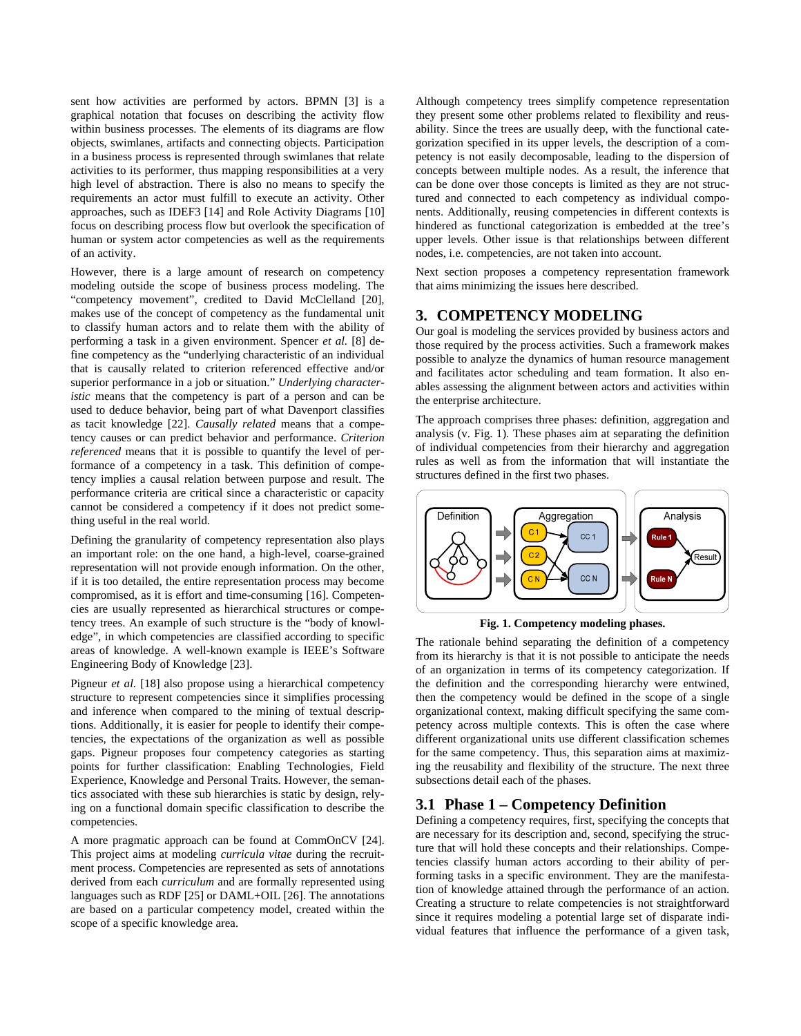sent how activities are performed by actors. BPMN [3] is a graphical notation that focuses on describing the activity flow within business processes. The elements of its diagrams are flow objects, swimlanes, artifacts and connecting objects. Participation in a business process is represented through swimlanes that relate activities to its performer, thus mapping responsibilities at a very high level of abstraction. There is also no means to specify the requirements an actor must fulfill to execute an activity. Other approaches, such as IDEF3 [14] and Role Activity Diagrams [10] focus on describing process flow but overlook the specification of human or system actor competencies as well as the requirements of an activity.

However, there is a large amount of research on competency modeling outside the scope of business process modeling. The "competency movement", credited to David McClelland [20], makes use of the concept of competency as the fundamental unit to classify human actors and to relate them with the ability of performing a task in a given environment. Spencer *et al.* [8] define competency as the "underlying characteristic of an individual that is causally related to criterion referenced effective and/or superior performance in a job or situation." *Underlying characteristic* means that the competency is part of a person and can be used to deduce behavior, being part of what Davenport classifies as tacit knowledge [22]. *Causally related* means that a competency causes or can predict behavior and performance. *Criterion referenced* means that it is possible to quantify the level of performance of a competency in a task. This definition of competency implies a causal relation between purpose and result. The performance criteria are critical since a characteristic or capacity cannot be considered a competency if it does not predict something useful in the real world.

Defining the granularity of competency representation also plays an important role: on the one hand, a high-level, coarse-grained representation will not provide enough information. On the other, if it is too detailed, the entire representation process may become compromised, as it is effort and time-consuming [16]. Competencies are usually represented as hierarchical structures or competency trees. An example of such structure is the "body of knowledge", in which competencies are classified according to specific areas of knowledge. A well-known example is IEEE's Software Engineering Body of Knowledge [23].

Pigneur *et al.* [18] also propose using a hierarchical competency structure to represent competencies since it simplifies processing and inference when compared to the mining of textual descriptions. Additionally, it is easier for people to identify their competencies, the expectations of the organization as well as possible gaps. Pigneur proposes four competency categories as starting points for further classification: Enabling Technologies, Field Experience, Knowledge and Personal Traits. However, the semantics associated with these sub hierarchies is static by design, relying on a functional domain specific classification to describe the competencies.

A more pragmatic approach can be found at CommOnCV [24]. This project aims at modeling *curricula vitae* during the recruitment process. Competencies are represented as sets of annotations derived from each *curriculum* and are formally represented using languages such as RDF [25] or DAML+OIL [26]. The annotations are based on a particular competency model, created within the scope of a specific knowledge area.

Although competency trees simplify competence representation they present some other problems related to flexibility and reusability. Since the trees are usually deep, with the functional categorization specified in its upper levels, the description of a competency is not easily decomposable, leading to the dispersion of concepts between multiple nodes. As a result, the inference that can be done over those concepts is limited as they are not structured and connected to each competency as individual components. Additionally, reusing competencies in different contexts is hindered as functional categorization is embedded at the tree's upper levels. Other issue is that relationships between different nodes, i.e. competencies, are not taken into account.

Next section proposes a competency representation framework that aims minimizing the issues here described.

## **3. COMPETENCY MODELING**

Our goal is modeling the services provided by business actors and those required by the process activities. Such a framework makes possible to analyze the dynamics of human resource management and facilitates actor scheduling and team formation. It also enables assessing the alignment between actors and activities within the enterprise architecture.

The approach comprises three phases: definition, aggregation and analysis (v. Fig. 1). These phases aim at separating the definition of individual competencies from their hierarchy and aggregation rules as well as from the information that will instantiate the structures defined in the first two phases.



**Fig. 1. Competency modeling phases.** 

The rationale behind separating the definition of a competency from its hierarchy is that it is not possible to anticipate the needs of an organization in terms of its competency categorization. If the definition and the corresponding hierarchy were entwined, then the competency would be defined in the scope of a single organizational context, making difficult specifying the same competency across multiple contexts. This is often the case where different organizational units use different classification schemes for the same competency. Thus, this separation aims at maximizing the reusability and flexibility of the structure. The next three subsections detail each of the phases.

## **3.1 Phase 1 – Competency Definition**

Defining a competency requires, first, specifying the concepts that are necessary for its description and, second, specifying the structure that will hold these concepts and their relationships. Competencies classify human actors according to their ability of performing tasks in a specific environment. They are the manifestation of knowledge attained through the performance of an action. Creating a structure to relate competencies is not straightforward since it requires modeling a potential large set of disparate individual features that influence the performance of a given task,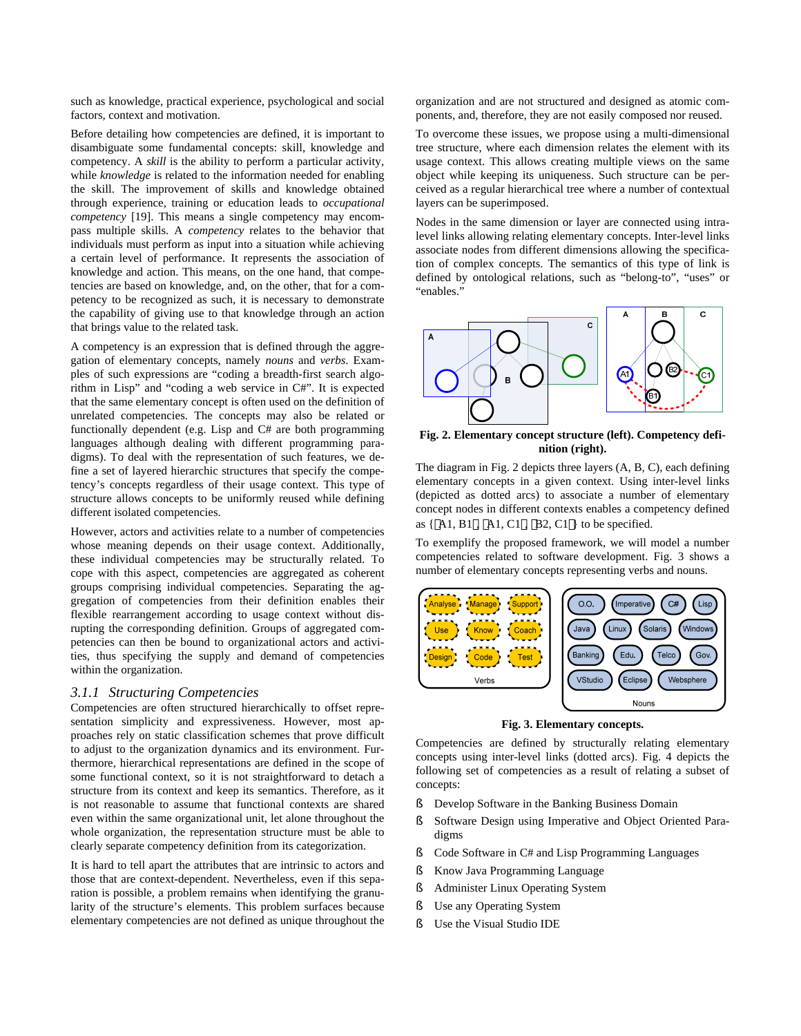such as knowledge, practical experience, psychological and social factors, context and motivation.

Before detailing how competencies are defined, it is important to disambiguate some fundamental concepts: skill, knowledge and competency. A *skill* is the ability to perform a particular activity, while *knowledge* is related to the information needed for enabling the skill. The improvement of skills and knowledge obtained through experience, training or education leads to *occupational competency* [19]. This means a single competency may encompass multiple skills. A *competency* relates to the behavior that individuals must perform as input into a situation while achieving a certain level of performance. It represents the association of knowledge and action. This means, on the one hand, that competencies are based on knowledge, and, on the other, that for a competency to be recognized as such, it is necessary to demonstrate the capability of giving use to that knowledge through an action that brings value to the related task.

A competency is an expression that is defined through the aggregation of elementary concepts, namely *nouns* and *verbs*. Examples of such expressions are "coding a breadth-first search algorithm in Lisp" and "coding a web service in C#". It is expected that the same elementary concept is often used on the definition of unrelated competencies. The concepts may also be related or functionally dependent (e.g. Lisp and C# are both programming languages although dealing with different programming paradigms). To deal with the representation of such features, we define a set of layered hierarchic structures that specify the competency's concepts regardless of their usage context. This type of structure allows concepts to be uniformly reused while defining different isolated competencies.

However, actors and activities relate to a number of competencies whose meaning depends on their usage context. Additionally, these individual competencies may be structurally related. To cope with this aspect, competencies are aggregated as coherent groups comprising individual competencies. Separating the aggregation of competencies from their definition enables their flexible rearrangement according to usage context without disrupting the corresponding definition. Groups of aggregated competencies can then be bound to organizational actors and activities, thus specifying the supply and demand of competencies within the organization.

#### *3.1.1 Structuring Competencies*

Competencies are often structured hierarchically to offset representation simplicity and expressiveness. However, most approaches rely on static classification schemes that prove difficult to adjust to the organization dynamics and its environment. Furthermore, hierarchical representations are defined in the scope of some functional context, so it is not straightforward to detach a structure from its context and keep its semantics. Therefore, as it is not reasonable to assume that functional contexts are shared even within the same organizational unit, let alone throughout the whole organization, the representation structure must be able to clearly separate competency definition from its categorization.

It is hard to tell apart the attributes that are intrinsic to actors and those that are context-dependent. Nevertheless, even if this separation is possible, a problem remains when identifying the granularity of the structure's elements. This problem surfaces because elementary competencies are not defined as unique throughout the

organization and are not structured and designed as atomic components, and, therefore, they are not easily composed nor reused.

To overcome these issues, we propose using a multi-dimensional tree structure, where each dimension relates the element with its usage context. This allows creating multiple views on the same object while keeping its uniqueness. Such structure can be perceived as a regular hierarchical tree where a number of contextual layers can be superimposed.

Nodes in the same dimension or layer are connected using intralevel links allowing relating elementary concepts. Inter-level links associate nodes from different dimensions allowing the specification of complex concepts. The semantics of this type of link is defined by ontological relations, such as "belong-to", "uses" or "enables."



**Fig. 2. Elementary concept structure (left). Competency definition (right).** 

The diagram in Fig. 2 depicts three layers (A, B, C), each defining elementary concepts in a given context. Using inter-level links (depicted as dotted arcs) to associate a number of elementary concept nodes in different contexts enables a competency defined as  $\{\langle A1, B1 \rangle, \langle A1, C1 \rangle, \langle B2, C1 \rangle\}$  to be specified.

To exemplify the proposed framework, we will model a number competencies related to software development. Fig. 3 shows a number of elementary concepts representing verbs and nouns.



**Fig. 3. Elementary concepts.** 

Competencies are defined by structurally relating elementary concepts using inter-level links (dotted arcs). Fig. 4 depicts the following set of competencies as a result of relating a subset of concepts:

- § Develop Software in the Banking Business Domain
- § Software Design using Imperative and Object Oriented Paradigms
- § Code Software in C# and Lisp Programming Languages
- § Know Java Programming Language
- § Administer Linux Operating System
- § Use any Operating System
- § Use the Visual Studio IDE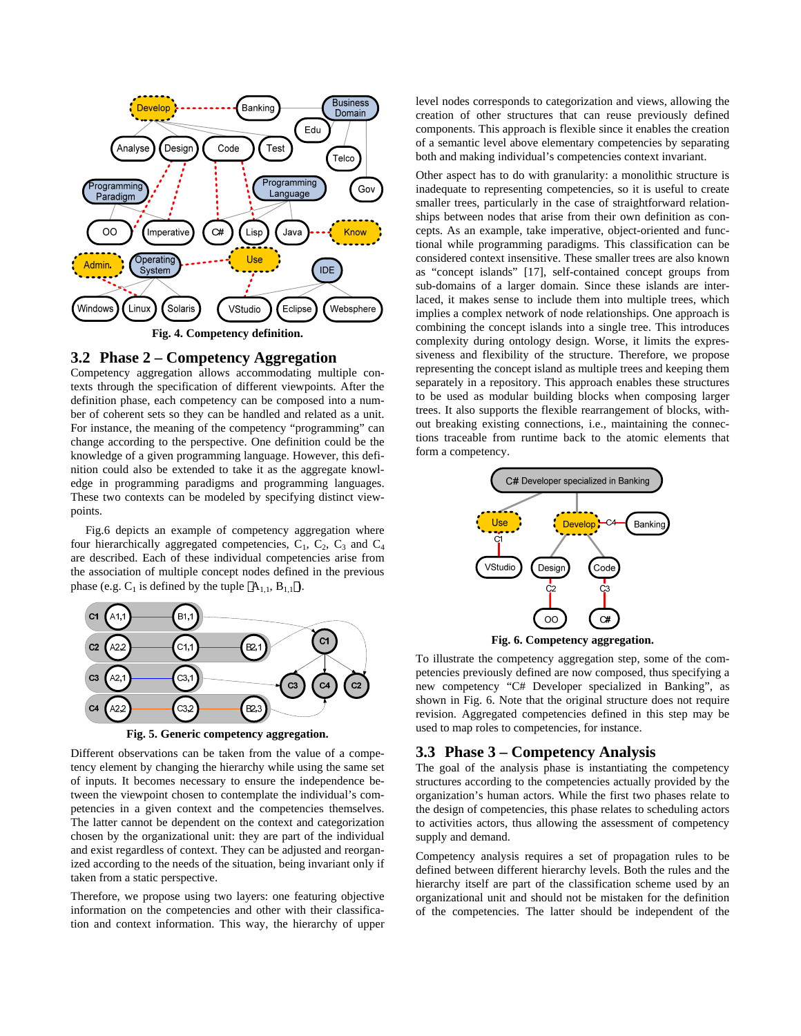

**Fig. 4. Competency definition.** 

### **3.2 Phase 2 – Competency Aggregation**

Competency aggregation allows accommodating multiple contexts through the specification of different viewpoints. After the definition phase, each competency can be composed into a number of coherent sets so they can be handled and related as a unit. For instance, the meaning of the competency "programming" can change according to the perspective. One definition could be the knowledge of a given programming language. However, this definition could also be extended to take it as the aggregate knowledge in programming paradigms and programming languages. These two contexts can be modeled by specifying distinct viewpoints.

Fig.6 depicts an example of competency aggregation where four hierarchically aggregated competencies,  $C_1$ ,  $C_2$ ,  $C_3$  and  $C_4$ are described. Each of these individual competencies arise from the association of multiple concept nodes defined in the previous phase (e.g.  $C_1$  is defined by the tuple  $\langle A_{1,1}, B_{1,1} \rangle$ ).



**Fig. 5. Generic competency aggregation.** 

Different observations can be taken from the value of a competency element by changing the hierarchy while using the same set of inputs. It becomes necessary to ensure the independence between the viewpoint chosen to contemplate the individual's competencies in a given context and the competencies themselves. The latter cannot be dependent on the context and categorization chosen by the organizational unit: they are part of the individual and exist regardless of context. They can be adjusted and reorganized according to the needs of the situation, being invariant only if taken from a static perspective.

Therefore, we propose using two layers: one featuring objective information on the competencies and other with their classification and context information. This way, the hierarchy of upper level nodes corresponds to categorization and views, allowing the creation of other structures that can reuse previously defined components. This approach is flexible since it enables the creation of a semantic level above elementary competencies by separating both and making individual's competencies context invariant.

Other aspect has to do with granularity: a monolithic structure is inadequate to representing competencies, so it is useful to create smaller trees, particularly in the case of straightforward relationships between nodes that arise from their own definition as concepts. As an example, take imperative, object-oriented and functional while programming paradigms. This classification can be considered context insensitive. These smaller trees are also known as "concept islands" [17], self-contained concept groups from sub-domains of a larger domain. Since these islands are interlaced, it makes sense to include them into multiple trees, which implies a complex network of node relationships. One approach is combining the concept islands into a single tree. This introduces complexity during ontology design. Worse, it limits the expressiveness and flexibility of the structure. Therefore, we propose representing the concept island as multiple trees and keeping them separately in a repository. This approach enables these structures to be used as modular building blocks when composing larger trees. It also supports the flexible rearrangement of blocks, without breaking existing connections, i.e., maintaining the connections traceable from runtime back to the atomic elements that form a competency.



To illustrate the competency aggregation step, some of the competencies previously defined are now composed, thus specifying a new competency "C# Developer specialized in Banking", as shown in Fig. 6. Note that the original structure does not require revision. Aggregated competencies defined in this step may be used to map roles to competencies, for instance.

#### **3.3 Phase 3 – Competency Analysis**

The goal of the analysis phase is instantiating the competency structures according to the competencies actually provided by the organization's human actors. While the first two phases relate to the design of competencies, this phase relates to scheduling actors to activities actors, thus allowing the assessment of competency supply and demand.

Competency analysis requires a set of propagation rules to be defined between different hierarchy levels. Both the rules and the hierarchy itself are part of the classification scheme used by an organizational unit and should not be mistaken for the definition of the competencies. The latter should be independent of the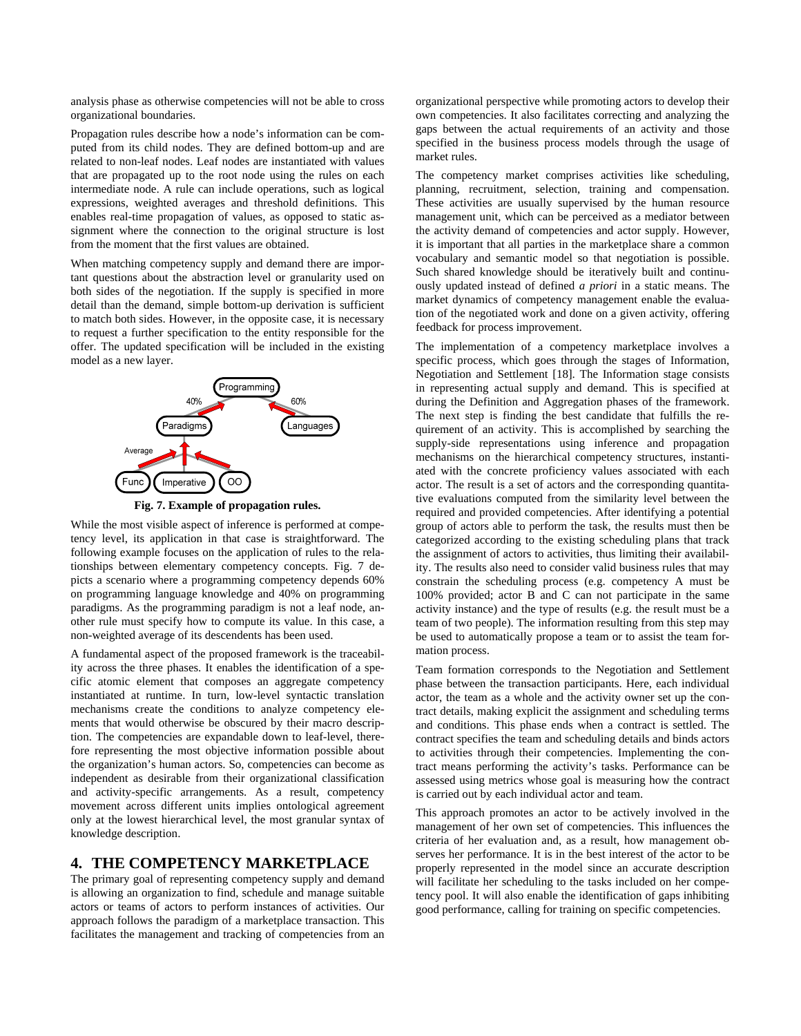analysis phase as otherwise competencies will not be able to cross organizational boundaries.

Propagation rules describe how a node's information can be computed from its child nodes. They are defined bottom-up and are related to non-leaf nodes. Leaf nodes are instantiated with values that are propagated up to the root node using the rules on each intermediate node. A rule can include operations, such as logical expressions, weighted averages and threshold definitions. This enables real-time propagation of values, as opposed to static assignment where the connection to the original structure is lost from the moment that the first values are obtained.

When matching competency supply and demand there are important questions about the abstraction level or granularity used on both sides of the negotiation. If the supply is specified in more detail than the demand, simple bottom-up derivation is sufficient to match both sides. However, in the opposite case, it is necessary to request a further specification to the entity responsible for the offer. The updated specification will be included in the existing model as a new layer.



**Fig. 7. Example of propagation rules.** 

While the most visible aspect of inference is performed at competency level, its application in that case is straightforward. The following example focuses on the application of rules to the relationships between elementary competency concepts. Fig. 7 depicts a scenario where a programming competency depends 60% on programming language knowledge and 40% on programming paradigms. As the programming paradigm is not a leaf node, another rule must specify how to compute its value. In this case, a non-weighted average of its descendents has been used.

A fundamental aspect of the proposed framework is the traceability across the three phases. It enables the identification of a specific atomic element that composes an aggregate competency instantiated at runtime. In turn, low-level syntactic translation mechanisms create the conditions to analyze competency elements that would otherwise be obscured by their macro description. The competencies are expandable down to leaf-level, therefore representing the most objective information possible about the organization's human actors. So, competencies can become as independent as desirable from their organizational classification and activity-specific arrangements. As a result, competency movement across different units implies ontological agreement only at the lowest hierarchical level, the most granular syntax of knowledge description.

# **4. THE COMPETENCY MARKETPLACE**

The primary goal of representing competency supply and demand is allowing an organization to find, schedule and manage suitable actors or teams of actors to perform instances of activities. Our approach follows the paradigm of a marketplace transaction. This facilitates the management and tracking of competencies from an

organizational perspective while promoting actors to develop their own competencies. It also facilitates correcting and analyzing the gaps between the actual requirements of an activity and those specified in the business process models through the usage of market rules.

The competency market comprises activities like scheduling, planning, recruitment, selection, training and compensation. These activities are usually supervised by the human resource management unit, which can be perceived as a mediator between the activity demand of competencies and actor supply. However, it is important that all parties in the marketplace share a common vocabulary and semantic model so that negotiation is possible. Such shared knowledge should be iteratively built and continuously updated instead of defined *a priori* in a static means. The market dynamics of competency management enable the evaluation of the negotiated work and done on a given activity, offering feedback for process improvement.

The implementation of a competency marketplace involves a specific process, which goes through the stages of Information, Negotiation and Settlement [18]. The Information stage consists in representing actual supply and demand. This is specified at during the Definition and Aggregation phases of the framework. The next step is finding the best candidate that fulfills the requirement of an activity. This is accomplished by searching the supply-side representations using inference and propagation mechanisms on the hierarchical competency structures, instantiated with the concrete proficiency values associated with each actor. The result is a set of actors and the corresponding quantitative evaluations computed from the similarity level between the required and provided competencies. After identifying a potential group of actors able to perform the task, the results must then be categorized according to the existing scheduling plans that track the assignment of actors to activities, thus limiting their availability. The results also need to consider valid business rules that may constrain the scheduling process (e.g. competency A must be 100% provided; actor B and C can not participate in the same activity instance) and the type of results (e.g. the result must be a team of two people). The information resulting from this step may be used to automatically propose a team or to assist the team formation process.

Team formation corresponds to the Negotiation and Settlement phase between the transaction participants. Here, each individual actor, the team as a whole and the activity owner set up the contract details, making explicit the assignment and scheduling terms and conditions. This phase ends when a contract is settled. The contract specifies the team and scheduling details and binds actors to activities through their competencies. Implementing the contract means performing the activity's tasks. Performance can be assessed using metrics whose goal is measuring how the contract is carried out by each individual actor and team.

This approach promotes an actor to be actively involved in the management of her own set of competencies. This influences the criteria of her evaluation and, as a result, how management observes her performance. It is in the best interest of the actor to be properly represented in the model since an accurate description will facilitate her scheduling to the tasks included on her competency pool. It will also enable the identification of gaps inhibiting good performance, calling for training on specific competencies.